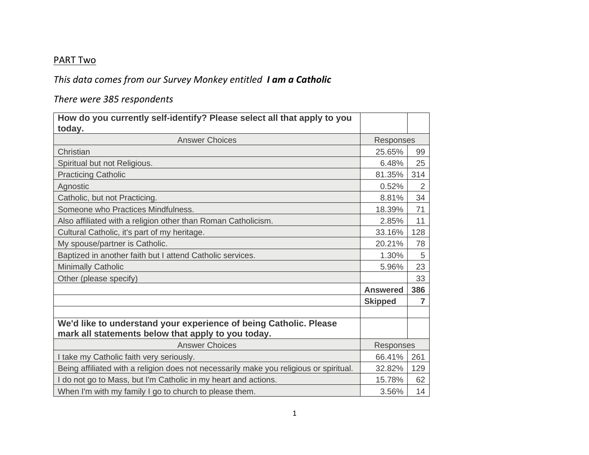## PART Two

## *This data comes from our Survey Monkey entitled I am a Catholic*

## *There were 385 respondents*

| How do you currently self-identify? Please select all that apply to you                                                 |                 |                |
|-------------------------------------------------------------------------------------------------------------------------|-----------------|----------------|
| today.                                                                                                                  |                 |                |
| <b>Answer Choices</b>                                                                                                   | Responses       |                |
| Christian                                                                                                               | 25.65%          | 99             |
| Spiritual but not Religious.                                                                                            | 6.48%           | 25             |
| <b>Practicing Catholic</b>                                                                                              | 81.35%          | 314            |
| Agnostic                                                                                                                | 0.52%           | 2              |
| Catholic, but not Practicing.                                                                                           | 8.81%           | 34             |
| Someone who Practices Mindfulness.                                                                                      | 18.39%          | 71             |
| Also affiliated with a religion other than Roman Catholicism.                                                           | 2.85%           | 11             |
| Cultural Catholic, it's part of my heritage.                                                                            | 33.16%          | 128            |
| My spouse/partner is Catholic.                                                                                          | 20.21%          | 78             |
| Baptized in another faith but I attend Catholic services.                                                               | 1.30%           | $\sqrt{5}$     |
| <b>Minimally Catholic</b>                                                                                               | 5.96%           | 23             |
| Other (please specify)                                                                                                  |                 | 33             |
|                                                                                                                         | <b>Answered</b> | 386            |
|                                                                                                                         | <b>Skipped</b>  | $\overline{7}$ |
|                                                                                                                         |                 |                |
| We'd like to understand your experience of being Catholic. Please<br>mark all statements below that apply to you today. |                 |                |
| <b>Answer Choices</b>                                                                                                   | Responses       |                |
| I take my Catholic faith very seriously.                                                                                | 66.41%          | 261            |
| Being affiliated with a religion does not necessarily make you religious or spiritual.                                  | 32.82%          | 129            |
| I do not go to Mass, but I'm Catholic in my heart and actions.                                                          | 15.78%          | 62             |
| When I'm with my family I go to church to please them.                                                                  | 3.56%           | 14             |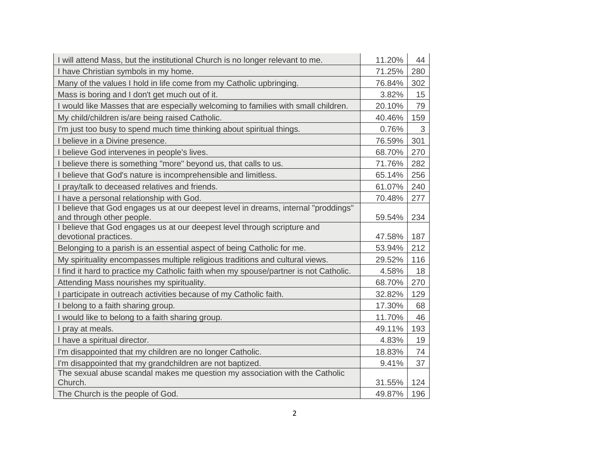| I will attend Mass, but the institutional Church is no longer relevant to me.                                   | 11.20% | 44         |
|-----------------------------------------------------------------------------------------------------------------|--------|------------|
| I have Christian symbols in my home.                                                                            | 71.25% | 280        |
| Many of the values I hold in life come from my Catholic upbringing.                                             | 76.84% | 302        |
| Mass is boring and I don't get much out of it.                                                                  | 3.82%  | 15         |
| I would like Masses that are especially welcoming to families with small children.                              | 20.10% | 79         |
| My child/children is/are being raised Catholic.                                                                 | 40.46% | 159        |
| I'm just too busy to spend much time thinking about spiritual things.                                           | 0.76%  | $\sqrt{3}$ |
| I believe in a Divine presence.                                                                                 | 76.59% | 301        |
| I believe God intervenes in people's lives.                                                                     | 68.70% | 270        |
| I believe there is something "more" beyond us, that calls to us.                                                | 71.76% | 282        |
| I believe that God's nature is incomprehensible and limitless.                                                  | 65.14% | 256        |
| I pray/talk to deceased relatives and friends.                                                                  | 61.07% | 240        |
| I have a personal relationship with God.                                                                        | 70.48% | 277        |
| I believe that God engages us at our deepest level in dreams, internal "proddings"<br>and through other people. | 59.54% | 234        |
| I believe that God engages us at our deepest level through scripture and<br>devotional practices.               | 47.58% | 187        |
| Belonging to a parish is an essential aspect of being Catholic for me.                                          | 53.94% | 212        |
| My spirituality encompasses multiple religious traditions and cultural views.                                   | 29.52% | 116        |
| I find it hard to practice my Catholic faith when my spouse/partner is not Catholic.                            | 4.58%  | 18         |
| Attending Mass nourishes my spirituality.                                                                       | 68.70% | 270        |
| I participate in outreach activities because of my Catholic faith.                                              | 32.82% | 129        |
| I belong to a faith sharing group.                                                                              | 17.30% | 68         |
| I would like to belong to a faith sharing group.                                                                | 11.70% | 46         |
| I pray at meals.                                                                                                | 49.11% | 193        |
| I have a spiritual director.                                                                                    | 4.83%  | 19         |
| I'm disappointed that my children are no longer Catholic.                                                       | 18.83% | 74         |
| I'm disappointed that my grandchildren are not baptized.                                                        | 9.41%  | 37         |
| The sexual abuse scandal makes me question my association with the Catholic<br>Church.                          | 31.55% | 124        |
| The Church is the people of God.                                                                                | 49.87% | 196        |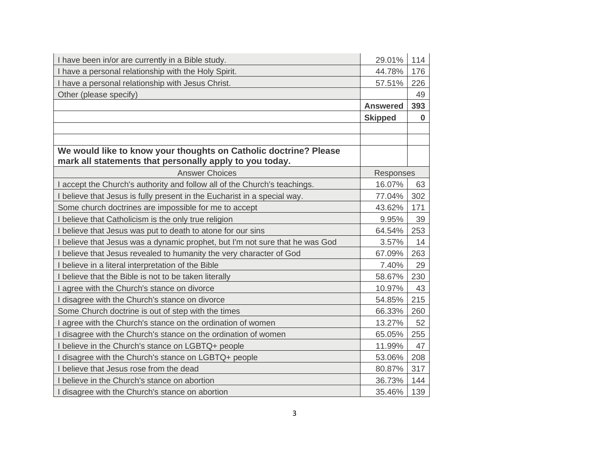| I have been in/or are currently in a Bible study.                            | 29.01%          | 114      |
|------------------------------------------------------------------------------|-----------------|----------|
| I have a personal relationship with the Holy Spirit.                         | 44.78%          | 176      |
| I have a personal relationship with Jesus Christ.                            | 57.51%          | 226      |
| Other (please specify)                                                       |                 | 49       |
|                                                                              | <b>Answered</b> | 393      |
|                                                                              | <b>Skipped</b>  | $\bf{0}$ |
|                                                                              |                 |          |
|                                                                              |                 |          |
| We would like to know your thoughts on Catholic doctrine? Please             |                 |          |
| mark all statements that personally apply to you today.                      |                 |          |
| <b>Answer Choices</b>                                                        | Responses       |          |
| I accept the Church's authority and follow all of the Church's teachings.    | 16.07%          | 63       |
| I believe that Jesus is fully present in the Eucharist in a special way.     | 77.04%          | 302      |
| Some church doctrines are impossible for me to accept                        | 43.62%          | 171      |
| I believe that Catholicism is the only true religion                         | 9.95%           | 39       |
| I believe that Jesus was put to death to atone for our sins                  | 64.54%          | 253      |
| I believe that Jesus was a dynamic prophet, but I'm not sure that he was God | 3.57%           | 14       |
| I believe that Jesus revealed to humanity the very character of God          | 67.09%          | 263      |
| I believe in a literal interpretation of the Bible                           | 7.40%           | 29       |
| I believe that the Bible is not to be taken literally                        | 58.67%          | 230      |
| I agree with the Church's stance on divorce                                  | 10.97%          | 43       |
| I disagree with the Church's stance on divorce                               | 54.85%          | 215      |
| Some Church doctrine is out of step with the times                           | 66.33%          | 260      |
| I agree with the Church's stance on the ordination of women                  | 13.27%          | 52       |
| I disagree with the Church's stance on the ordination of women               | 65.05%          | 255      |
| I believe in the Church's stance on LGBTQ+ people                            | 11.99%          | 47       |
| I disagree with the Church's stance on LGBTQ+ people                         | 53.06%          | 208      |
| I believe that Jesus rose from the dead                                      | 80.87%          | 317      |
| I believe in the Church's stance on abortion                                 | 36.73%          | 144      |
| I disagree with the Church's stance on abortion                              | 35.46%          | 139      |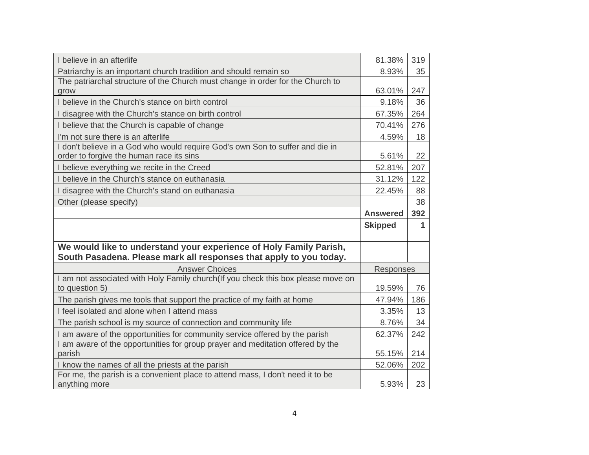| I believe in an afterlife                                                                                                           | 81.38%          | 319 |
|-------------------------------------------------------------------------------------------------------------------------------------|-----------------|-----|
| Patriarchy is an important church tradition and should remain so                                                                    | 8.93%           | 35  |
| The patriarchal structure of the Church must change in order for the Church to                                                      |                 |     |
| grow                                                                                                                                | 63.01%          | 247 |
| I believe in the Church's stance on birth control                                                                                   | 9.18%           | 36  |
| disagree with the Church's stance on birth control                                                                                  | 67.35%          | 264 |
| I believe that the Church is capable of change                                                                                      | 70.41%          | 276 |
| I'm not sure there is an afterlife                                                                                                  | 4.59%           | 18  |
| I don't believe in a God who would require God's own Son to suffer and die in<br>order to forgive the human race its sins           | 5.61%           | 22  |
| I believe everything we recite in the Creed                                                                                         | 52.81%          | 207 |
| I believe in the Church's stance on euthanasia                                                                                      | 31.12%          | 122 |
| I disagree with the Church's stand on euthanasia                                                                                    | 22.45%          | 88  |
| Other (please specify)                                                                                                              |                 | 38  |
|                                                                                                                                     | <b>Answered</b> | 392 |
|                                                                                                                                     |                 |     |
|                                                                                                                                     | <b>Skipped</b>  | 1   |
|                                                                                                                                     |                 |     |
| We would like to understand your experience of Holy Family Parish,                                                                  |                 |     |
| South Pasadena. Please mark all responses that apply to you today.                                                                  |                 |     |
| <b>Answer Choices</b>                                                                                                               | Responses       |     |
| I am not associated with Holy Family church(If you check this box please move on<br>to question 5)                                  | 19.59%          | 76  |
| The parish gives me tools that support the practice of my faith at home                                                             | 47.94%          | 186 |
| I feel isolated and alone when I attend mass                                                                                        | 3.35%           | 13  |
| The parish school is my source of connection and community life                                                                     | 8.76%           | 34  |
| am aware of the opportunities for community service offered by the parish                                                           | 62.37%          | 242 |
| am aware of the opportunities for group prayer and meditation offered by the                                                        |                 |     |
| parish                                                                                                                              | 55.15%          | 214 |
| I know the names of all the priests at the parish<br>For me, the parish is a convenient place to attend mass, I don't need it to be | 52.06%          | 202 |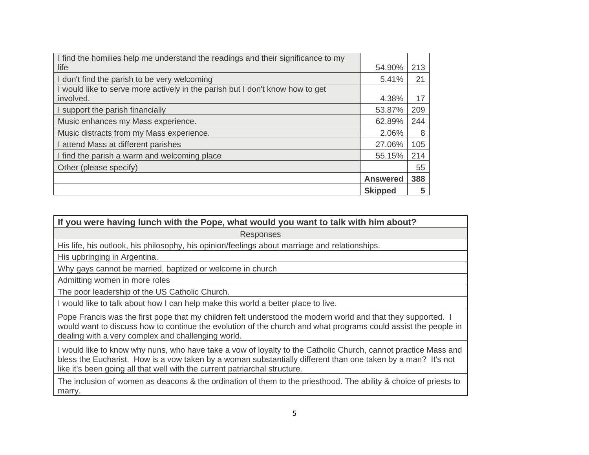| I find the homilies help me understand the readings and their significance to my |                 |     |
|----------------------------------------------------------------------------------|-----------------|-----|
| life                                                                             | 54.90%          | 213 |
| I don't find the parish to be very welcoming                                     | 5.41%           | 21  |
| I would like to serve more actively in the parish but I don't know how to get    |                 |     |
| involved.                                                                        | 4.38%           | 17  |
| I support the parish financially                                                 | 53.87%          | 209 |
| Music enhances my Mass experience.                                               | 62.89%          | 244 |
| Music distracts from my Mass experience.                                         | 2.06%           | 8   |
| I attend Mass at different parishes                                              | 27.06%          | 105 |
| I find the parish a warm and welcoming place                                     | 55.15%          | 214 |
| Other (please specify)                                                           |                 | 55  |
|                                                                                  | <b>Answered</b> | 388 |
|                                                                                  | <b>Skipped</b>  | 5   |

| If you were having lunch with the Pope, what would you want to talk with him about?                                                                                                                                                                                                                          |
|--------------------------------------------------------------------------------------------------------------------------------------------------------------------------------------------------------------------------------------------------------------------------------------------------------------|
| <b>Responses</b>                                                                                                                                                                                                                                                                                             |
| His life, his outlook, his philosophy, his opinion/feelings about marriage and relationships.                                                                                                                                                                                                                |
| His upbringing in Argentina.                                                                                                                                                                                                                                                                                 |
| Why gays cannot be married, baptized or welcome in church                                                                                                                                                                                                                                                    |
| Admitting women in more roles                                                                                                                                                                                                                                                                                |
| The poor leadership of the US Catholic Church.                                                                                                                                                                                                                                                               |
| I would like to talk about how I can help make this world a better place to live.                                                                                                                                                                                                                            |
| Pope Francis was the first pope that my children felt understood the modern world and that they supported. I<br>would want to discuss how to continue the evolution of the church and what programs could assist the people in<br>dealing with a very complex and challenging world.                         |
| I would like to know why nuns, who have take a vow of loyalty to the Catholic Church, cannot practice Mass and<br>bless the Eucharist. How is a vow taken by a woman substantially different than one taken by a man? It's not<br>like it's been going all that well with the current patriarchal structure. |
|                                                                                                                                                                                                                                                                                                              |

The inclusion of women as deacons & the ordination of them to the priesthood. The ability & choice of priests to marry.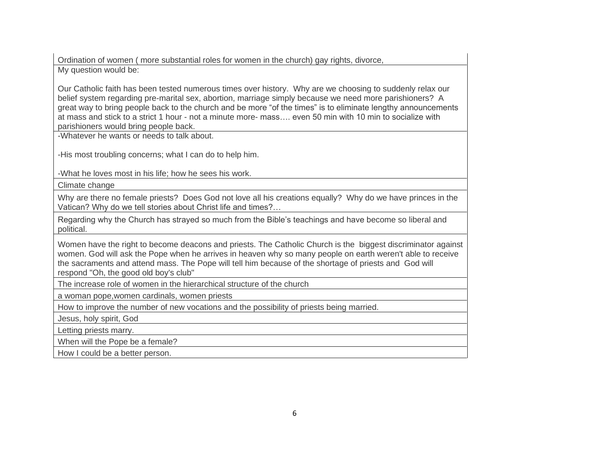Ordination of women ( more substantial roles for women in the church) gay rights, divorce, My question would be:

Our Catholic faith has been tested numerous times over history. Why are we choosing to suddenly relax our belief system regarding pre-marital sex, abortion, marriage simply because we need more parishioners? A great way to bring people back to the church and be more "of the times" is to eliminate lengthy announcements at mass and stick to a strict 1 hour - not a minute more- mass…. even 50 min with 10 min to socialize with parishioners would bring people back.

-Whatever he wants or needs to talk about.

-His most troubling concerns; what I can do to help him.

-What he loves most in his life; how he sees his work.

Climate change

Why are there no female priests? Does God not love all his creations equally? Why do we have princes in the Vatican? Why do we tell stories about Christ life and times?…

Regarding why the Church has strayed so much from the Bible's teachings and have become so liberal and political.

Women have the right to become deacons and priests. The Catholic Church is the biggest discriminator against women. God will ask the Pope when he arrives in heaven why so many people on earth weren't able to receive the sacraments and attend mass. The Pope will tell him because of the shortage of priests and God will respond "Oh, the good old boy's club"

The increase role of women in the hierarchical structure of the church

a woman pope,women cardinals, women priests

How to improve the number of new vocations and the possibility of priests being married.

Jesus, holy spirit, God

Letting priests marry.

When will the Pope be a female?

How I could be a better person.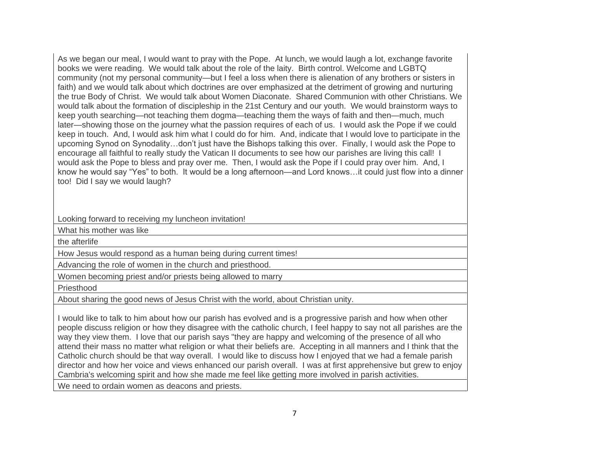As we began our meal, I would want to pray with the Pope. At lunch, we would laugh a lot, exchange favorite books we were reading. We would talk about the role of the laity. Birth control. Welcome and LGBTQ community (not my personal community—but I feel a loss when there is alienation of any brothers or sisters in faith) and we would talk about which doctrines are over emphasized at the detriment of growing and nurturing the true Body of Christ. We would talk about Women Diaconate. Shared Communion with other Christians. We would talk about the formation of discipleship in the 21st Century and our youth. We would brainstorm ways to keep youth searching—not teaching them dogma—teaching them the ways of faith and then—much, much later—showing those on the journey what the passion requires of each of us. I would ask the Pope if we could keep in touch. And, I would ask him what I could do for him. And, indicate that I would love to participate in the upcoming Synod on Synodality…don't just have the Bishops talking this over. Finally, I would ask the Pope to encourage all faithful to really study the Vatican II documents to see how our parishes are living this call! I would ask the Pope to bless and pray over me. Then, I would ask the Pope if I could pray over him. And, I know he would say "Yes" to both. It would be a long afternoon—and Lord knows…it could just flow into a dinner too! Did I say we would laugh?

Looking forward to receiving my luncheon invitation!

What his mother was like

the afterlife

How Jesus would respond as a human being during current times!

Advancing the role of women in the church and priesthood.

Women becoming priest and/or priests being allowed to marry

Priesthood

About sharing the good news of Jesus Christ with the world, about Christian unity.

I would like to talk to him about how our parish has evolved and is a progressive parish and how when other people discuss religion or how they disagree with the catholic church, I feel happy to say not all parishes are the way they view them. I love that our parish says "they are happy and welcoming of the presence of all who attend their mass no matter what religion or what their beliefs are. Accepting in all manners and I think that the Catholic church should be that way overall. I would like to discuss how I enjoyed that we had a female parish director and how her voice and views enhanced our parish overall. I was at first apprehensive but grew to enjoy Cambria's welcoming spirit and how she made me feel like getting more involved in parish activities.

We need to ordain women as deacons and priests.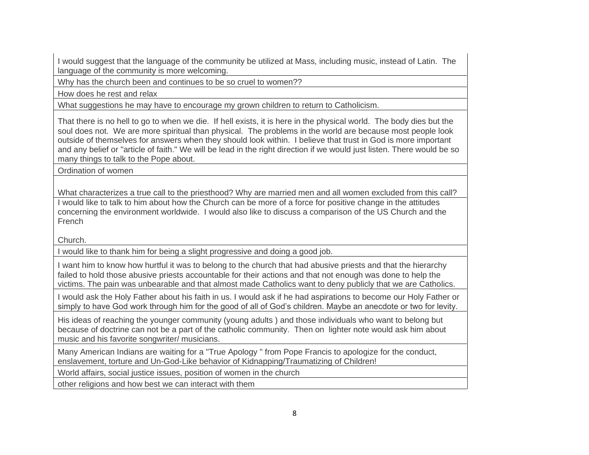I would suggest that the language of the community be utilized at Mass, including music, instead of Latin. The language of the community is more welcoming.

Why has the church been and continues to be so cruel to women??

How does he rest and relax

What suggestions he may have to encourage my grown children to return to Catholicism.

That there is no hell to go to when we die. If hell exists, it is here in the physical world. The body dies but the soul does not. We are more spiritual than physical. The problems in the world are because most people look outside of themselves for answers when they should look within. I believe that trust in God is more important and any belief or "article of faith." We will be lead in the right direction if we would just listen. There would be so many things to talk to the Pope about.

Ordination of women

What characterizes a true call to the priesthood? Why are married men and all women excluded from this call?

I would like to talk to him about how the Church can be more of a force for positive change in the attitudes concerning the environment worldwide. I would also like to discuss a comparison of the US Church and the French

Church.

I would like to thank him for being a slight progressive and doing a good job.

I want him to know how hurtful it was to belong to the church that had abusive priests and that the hierarchy failed to hold those abusive priests accountable for their actions and that not enough was done to help the victims. The pain was unbearable and that almost made Catholics want to deny publicly that we are Catholics.

I would ask the Holy Father about his faith in us. I would ask if he had aspirations to become our Holy Father or simply to have God work through him for the good of all of God's children. Maybe an anecdote or two for levity.

His ideas of reaching the younger community (young adults ) and those individuals who want to belong but because of doctrine can not be a part of the catholic community. Then on lighter note would ask him about music and his favorite songwriter/ musicians.

Many American Indians are waiting for a "True Apology " from Pope Francis to apologize for the conduct, enslavement, torture and Un-God-Like behavior of Kidnapping/Traumatizing of Children!

World affairs, social justice issues, position of women in the church

other religions and how best we can interact with them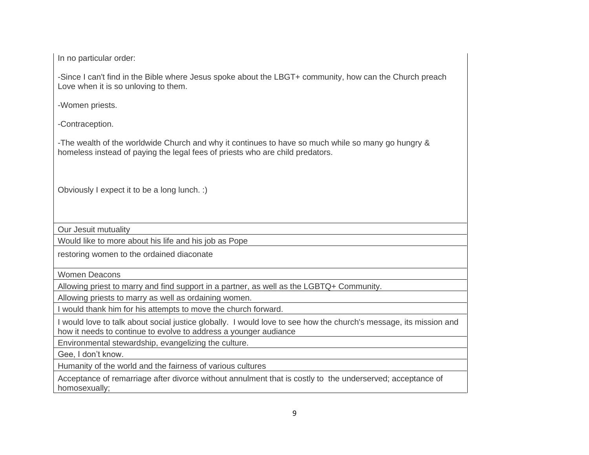In no particular order:

-Since I can't find in the Bible where Jesus spoke about the LBGT+ community, how can the Church preach Love when it is so unloving to them.

-Women priests.

-Contraception.

-The wealth of the worldwide Church and why it continues to have so much while so many go hungry & homeless instead of paying the legal fees of priests who are child predators.

Obviously I expect it to be a long lunch. :)

Our Jesuit mutuality

Would like to more about his life and his job as Pope

restoring women to the ordained diaconate

Women Deacons

Allowing priest to marry and find support in a partner, as well as the LGBTQ+ Community.

Allowing priests to marry as well as ordaining women.

I would thank him for his attempts to move the church forward.

I would love to talk about social justice globally. I would love to see how the church's message, its mission and how it needs to continue to evolve to address a younger audiance

Environmental stewardship, evangelizing the culture.

Gee, I don't know.

Humanity of the world and the fairness of various cultures

Acceptance of remarriage after divorce without annulment that is costly to the underserved; acceptance of homosexually;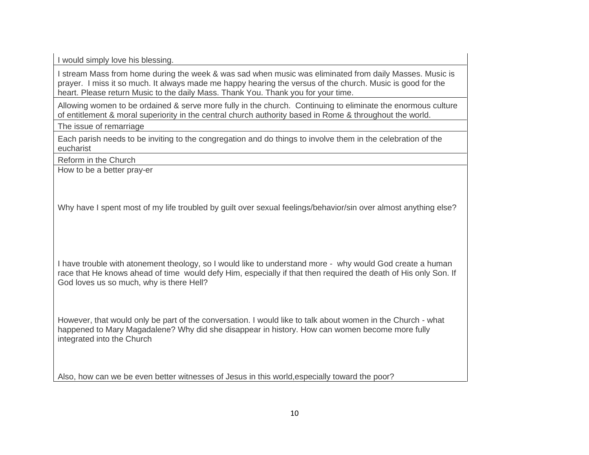I would simply love his blessing.

I stream Mass from home during the week & was sad when music was eliminated from daily Masses. Music is prayer. I miss it so much. It always made me happy hearing the versus of the church. Music is good for the heart. Please return Music to the daily Mass. Thank You. Thank you for your time.

Allowing women to be ordained & serve more fully in the church. Continuing to eliminate the enormous culture of entitlement & moral superiority in the central church authority based in Rome & throughout the world.

The issue of remarriage

Each parish needs to be inviting to the congregation and do things to involve them in the celebration of the eucharist

Reform in the Church

How to be a better pray-er

Why have I spent most of my life troubled by guilt over sexual feelings/behavior/sin over almost anything else?

I have trouble with atonement theology, so I would like to understand more - why would God create a human race that He knows ahead of time would defy Him, especially if that then required the death of His only Son. If God loves us so much, why is there Hell?

However, that would only be part of the conversation. I would like to talk about women in the Church - what happened to Mary Magadalene? Why did she disappear in history. How can women become more fully integrated into the Church

Also, how can we be even better witnesses of Jesus in this world,especially toward the poor?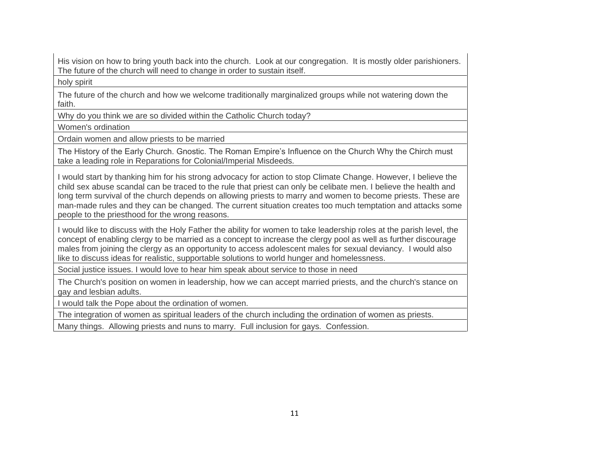His vision on how to bring youth back into the church. Look at our congregation. It is mostly older parishioners. The future of the church will need to change in order to sustain itself.

holy spirit

The future of the church and how we welcome traditionally marginalized groups while not watering down the faith.

Why do you think we are so divided within the Catholic Church today?

Women's ordination

Ordain women and allow priests to be married

The History of the Early Church. Gnostic. The Roman Empire's Influence on the Church Why the Chirch must take a leading role in Reparations for Colonial/Imperial Misdeeds.

I would start by thanking him for his strong advocacy for action to stop Climate Change. However, I believe the child sex abuse scandal can be traced to the rule that priest can only be celibate men. I believe the health and long term survival of the church depends on allowing priests to marry and women to become priests. These are man-made rules and they can be changed. The current situation creates too much temptation and attacks some people to the priesthood for the wrong reasons.

I would like to discuss with the Holy Father the ability for women to take leadership roles at the parish level, the concept of enabling clergy to be married as a concept to increase the clergy pool as well as further discourage males from joining the clergy as an opportunity to access adolescent males for sexual deviancy. I would also like to discuss ideas for realistic, supportable solutions to world hunger and homelessness.

Social justice issues. I would love to hear him speak about service to those in need

The Church's position on women in leadership, how we can accept married priests, and the church's stance on gay and lesbian adults.

I would talk the Pope about the ordination of women.

The integration of women as spiritual leaders of the church including the ordination of women as priests.

Many things. Allowing priests and nuns to marry. Full inclusion for gays. Confession.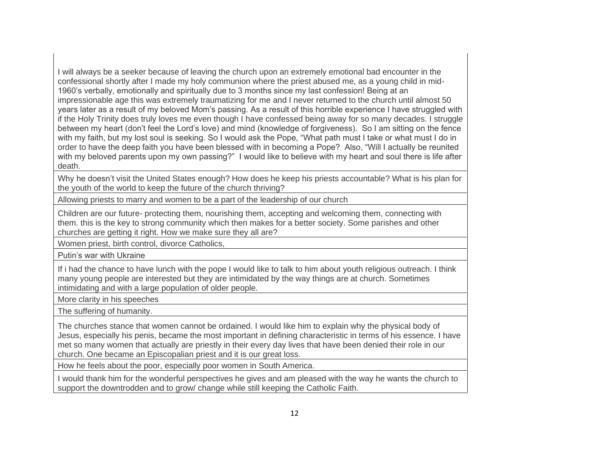I will always be a seeker because of leaving the church upon an extremely emotional bad encounter in the confessional shortly after I made my holy communion where the priest abused me, as a young child in mid-1960's verbally, emotionally and spiritually due to 3 months since my last confession! Being at an impressionable age this was extremely traumatizing for me and I never returned to the church until almost 50 years later as a result of my beloved Mom's passing. As a result of this horrible experience I have struggled with if the Holy Trinity does truly loves me even though I have confessed being away for so many decades. I struggle between my heart (don't feel the Lord's love) and mind (knowledge of forgiveness). So I am sitting on the fence with my faith, but my lost soul is seeking. So I would ask the Pope, "What path must I take or what must I do in order to have the deep faith you have been blessed with in becoming a Pope? Also, "Will I actually be reunited with my beloved parents upon my own passing?" I would like to believe with my heart and soul there is life after death.

Why he doesn't visit the United States enough? How does he keep his priests accountable? What is his plan for the youth of the world to keep the future of the church thriving?

Allowing priests to marry and women to be a part of the leadership of our church

Children are our future- protecting them, nourishing them, accepting and welcoming them, connecting with them. this is the key to strong community which then makes for a better society. Some parishes and other churches are getting it right. How we make sure they all are?

Women priest, birth control, divorce Catholics,

Putin's war with Ukraine

If i had the chance to have lunch with the pope I would like to talk to him about youth religious outreach. I think many young people are interested but they are intimidated by the way things are at church. Sometimes intimidating and with a large population of older people.

More clarity in his speeches

The suffering of humanity.

The churches stance that women cannot be ordained. I would like him to explain why the physical body of Jesus, especially his penis, became the most important in defining characteristic in terms of his essence. I have met so many women that actually are priestly in their every day lives that have been denied their role in our church. One became an Episcopalian priest and it is our great loss.

How he feels about the poor, especially poor women in South America.

I would thank him for the wonderful perspectives he gives and am pleased with the way he wants the church to support the downtrodden and to grow/ change while still keeping the Catholic Faith.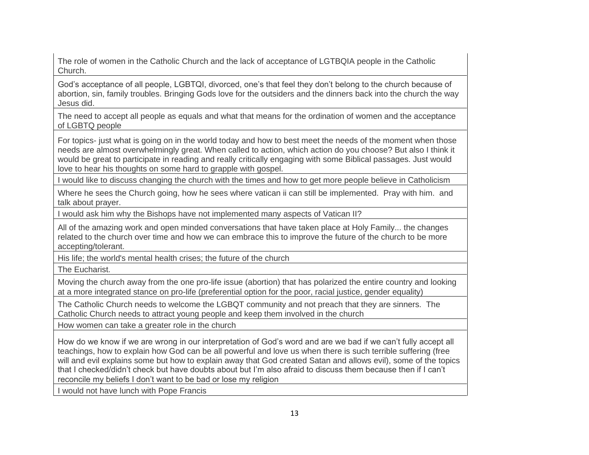The role of women in the Catholic Church and the lack of acceptance of LGTBQIA people in the Catholic Church.

God's acceptance of all people, LGBTQI, divorced, one's that feel they don't belong to the church because of abortion, sin, family troubles. Bringing Gods love for the outsiders and the dinners back into the church the way Jesus did.

The need to accept all people as equals and what that means for the ordination of women and the acceptance of LGBTQ people

For topics- just what is going on in the world today and how to best meet the needs of the moment when those needs are almost overwhelmingly great. When called to action, which action do you choose? But also I think it would be great to participate in reading and really critically engaging with some Biblical passages. Just would love to hear his thoughts on some hard to grapple with gospel.

I would like to discuss changing the church with the times and how to get more people believe in Catholicism

Where he sees the Church going, how he sees where vatican ii can still be implemented. Pray with him. and talk about prayer.

I would ask him why the Bishops have not implemented many aspects of Vatican II?

All of the amazing work and open minded conversations that have taken place at Holy Family... the changes related to the church over time and how we can embrace this to improve the future of the church to be more accepting/tolerant.

His life; the world's mental health crises; the future of the church

The Eucharist.

Moving the church away from the one pro-life issue (abortion) that has polarized the entire country and looking at a more integrated stance on pro-life (preferential option for the poor, racial justice, gender equality)

The Catholic Church needs to welcome the LGBQT community and not preach that they are sinners. The Catholic Church needs to attract young people and keep them involved in the church

How women can take a greater role in the church

How do we know if we are wrong in our interpretation of God's word and are we bad if we can't fully accept all teachings, how to explain how God can be all powerful and love us when there is such terrible suffering (free will and evil explains some but how to explain away that God created Satan and allows evil), some of the topics that I checked/didn't check but have doubts about but I'm also afraid to discuss them because then if I can't reconcile my beliefs I don't want to be bad or lose my religion

I would not have lunch with Pope Francis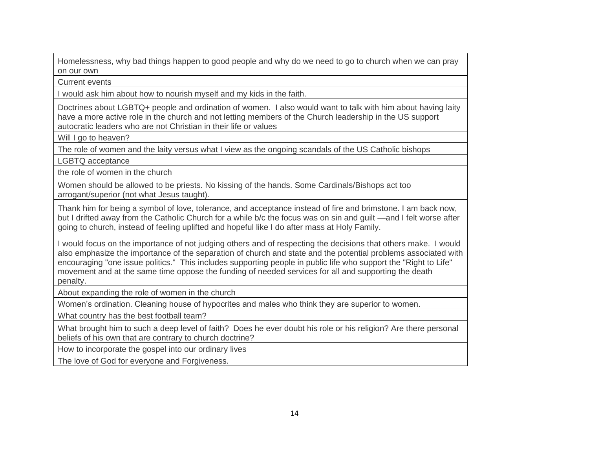Homelessness, why bad things happen to good people and why do we need to go to church when we can pray on our own

Current events

I would ask him about how to nourish myself and my kids in the faith.

Doctrines about LGBTQ+ people and ordination of women. I also would want to talk with him about having laity have a more active role in the church and not letting members of the Church leadership in the US support autocratic leaders who are not Christian in their life or values

Will I go to heaven?

The role of women and the laity versus what I view as the ongoing scandals of the US Catholic bishops

LGBTQ acceptance

the role of women in the church

Women should be allowed to be priests. No kissing of the hands. Some Cardinals/Bishops act too arrogant/superior (not what Jesus taught).

Thank him for being a symbol of love, tolerance, and acceptance instead of fire and brimstone. I am back now, but I drifted away from the Catholic Church for a while b/c the focus was on sin and guilt —and I felt worse after going to church, instead of feeling uplifted and hopeful like I do after mass at Holy Family.

I would focus on the importance of not judging others and of respecting the decisions that others make. I would also emphasize the importance of the separation of church and state and the potential problems associated with encouraging "one issue politics." This includes supporting people in public life who support the "Right to Life" movement and at the same time oppose the funding of needed services for all and supporting the death penalty.

About expanding the role of women in the church

Women's ordination. Cleaning house of hypocrites and males who think they are superior to women.

What country has the best football team?

What brought him to such a deep level of faith? Does he ever doubt his role or his religion? Are there personal beliefs of his own that are contrary to church doctrine?

How to incorporate the gospel into our ordinary lives

The love of God for everyone and Forgiveness.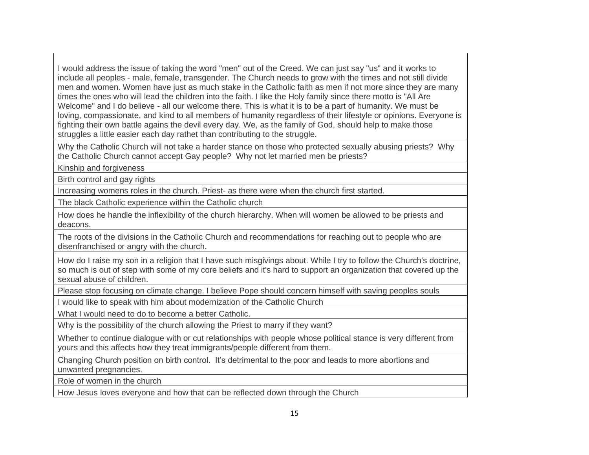I would address the issue of taking the word "men" out of the Creed. We can just say "us" and it works to include all peoples - male, female, transgender. The Church needs to grow with the times and not still divide men and women. Women have just as much stake in the Catholic faith as men if not more since they are many times the ones who will lead the children into the faith. I like the Holy family since there motto is "All Are Welcome" and I do believe - all our welcome there. This is what it is to be a part of humanity. We must be loving, compassionate, and kind to all members of humanity regardless of their lifestyle or opinions. Everyone is fighting their own battle agains the devil every day. We, as the family of God, should help to make those struggles a little easier each day rathet than contributing to the struggle.

Why the Catholic Church will not take a harder stance on those who protected sexually abusing priests? Why the Catholic Church cannot accept Gay people? Why not let married men be priests?

Kinship and forgiveness

Birth control and gay rights

Increasing womens roles in the church. Priest- as there were when the church first started.

The black Catholic experience within the Catholic church

How does he handle the inflexibility of the church hierarchy. When will women be allowed to be priests and deacons.

The roots of the divisions in the Catholic Church and recommendations for reaching out to people who are disenfranchised or angry with the church.

How do I raise my son in a religion that I have such misgivings about. While I try to follow the Church's doctrine, so much is out of step with some of my core beliefs and it's hard to support an organization that covered up the sexual abuse of children.

Please stop focusing on climate change. I believe Pope should concern himself with saving peoples souls

I would like to speak with him about modernization of the Catholic Church

What I would need to do to become a better Catholic.

Why is the possibility of the church allowing the Priest to marry if they want?

Whether to continue dialogue with or cut relationships with people whose political stance is very different from yours and this affects how they treat immigrants/people different from them.

Changing Church position on birth control. It's detrimental to the poor and leads to more abortions and unwanted pregnancies.

Role of women in the church

How Jesus loves everyone and how that can be reflected down through the Church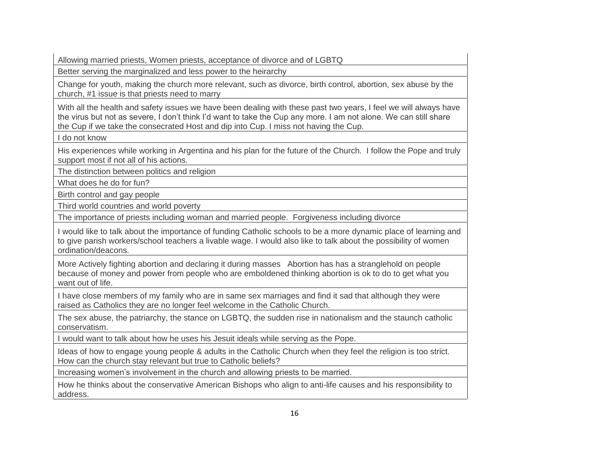Allowing married priests, Women priests, acceptance of divorce and of LGBTQ

Better serving the marginalized and less power to the heirarchy

Change for youth, making the church more relevant, such as divorce, birth control, abortion, sex abuse by the church, #1 issue is that priests need to marry

With all the health and safety issues we have been dealing with these past two years, I feel we will always have the virus but not as severe, I don't think I'd want to take the Cup any more. I am not alone. We can still share the Cup if we take the consecrated Host and dip into Cup. I miss not having the Cup.

I do not know

His experiences while working in Argentina and his plan for the future of the Church. I follow the Pope and truly support most if not all of his actions.

The distinction between politics and religion

What does he do for fun?

Birth control and gay people

Third world countries and world poverty

The importance of priests including woman and married people. Forgiveness including divorce

I would like to talk about the importance of funding Catholic schools to be a more dynamic place of learning and to give parish workers/school teachers a livable wage. I would also like to talk about the possibility of women ordination/deacons.

More Actively fighting abortion and declaring it during masses Abortion has has a stranglehold on people because of money and power from people who are emboldened thinking abortion is ok to do to get what you want out of life.

I have close members of my family who are in same sex marriages and find it sad that although they were raised as Catholics they are no longer feel welcome in the Catholic Church.

The sex abuse, the patriarchy, the stance on LGBTQ, the sudden rise in nationalism and the staunch catholic conservatism.

I would want to talk about how he uses his Jesuit ideals while serving as the Pope.

Ideas of how to engage young people & adults in the Catholic Church when they feel the religion is too strict. How can the church stay relevant but true to Catholic beliefs?

Increasing women's involvement in the church and allowing priests to be married.

How he thinks about the conservative American Bishops who align to anti-life causes and his responsibility to address.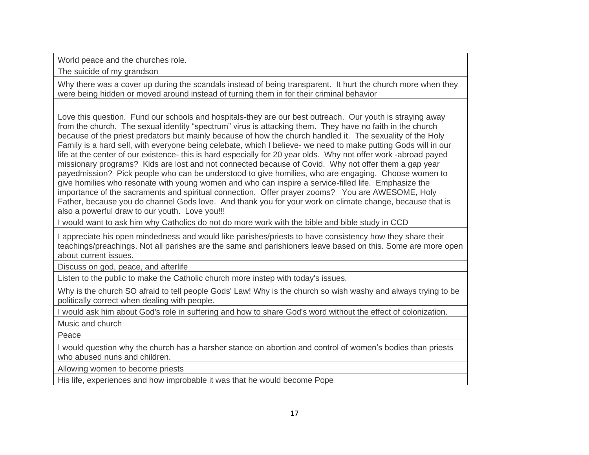World peace and the churches role.

The suicide of my grandson

Why there was a cover up during the scandals instead of being transparent. It hurt the church more when they were being hidden or moved around instead of turning them in for their criminal behavior

Love this question. Fund our schools and hospitals-they are our best outreach. Our youth is straying away from the church. The sexual identity "spectrum" virus is attacking them. They have no faith in the church because of the priest predators but mainly because of how the church handled it. The sexuality of the Holy Family is a hard sell, with everyone being celebate, which I believe- we need to make putting Gods will in our life at the center of our existence- this is hard especially for 20 year olds. Why not offer work -abroad payed missionary programs? Kids are lost and not connected because of Covid. Why not offer them a gap year payedmission? Pick people who can be understood to give homilies, who are engaging. Choose women to give homilies who resonate with young women and who can inspire a service-filled life. Emphasize the importance of the sacraments and spiritual connection. Offer prayer zooms? You are AWESOME, Holy Father, because you do channel Gods love. And thank you for your work on climate change, because that is also a powerful draw to our youth. Love you!!!

I would want to ask him why Catholics do not do more work with the bible and bible study in CCD

I appreciate his open mindedness and would like parishes/priests to have consistency how they share their teachings/preachings. Not all parishes are the same and parishioners leave based on this. Some are more open about current issues.

Discuss on god, peace, and afterlife

Listen to the public to make the Catholic church more instep with today's issues.

Why is the church SO afraid to tell people Gods' Law! Why is the church so wish washy and always trying to be politically correct when dealing with people.

I would ask him about God's role in suffering and how to share God's word without the effect of colonization.

Music and church

Peace

I would question why the church has a harsher stance on abortion and control of women's bodies than priests who abused nuns and children.

Allowing women to become priests

His life, experiences and how improbable it was that he would become Pope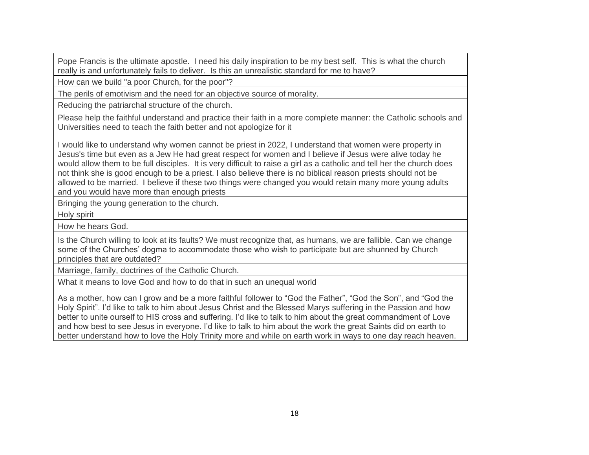Pope Francis is the ultimate apostle. I need his daily inspiration to be my best self. This is what the church really is and unfortunately fails to deliver. Is this an unrealistic standard for me to have?

How can we build "a poor Church, for the poor"?

The perils of emotivism and the need for an objective source of morality.

Reducing the patriarchal structure of the church.

Please help the faithful understand and practice their faith in a more complete manner: the Catholic schools and Universities need to teach the faith better and not apologize for it

I would like to understand why women cannot be priest in 2022, I understand that women were property in Jesus's time but even as a Jew He had great respect for women and I believe if Jesus were alive today he would allow them to be full disciples. It is very difficult to raise a girl as a catholic and tell her the church does not think she is good enough to be a priest. I also believe there is no biblical reason priests should not be allowed to be married. I believe if these two things were changed you would retain many more young adults and you would have more than enough priests

Bringing the young generation to the church.

Holy spirit

How he hears God.

Is the Church willing to look at its faults? We must recognize that, as humans, we are fallible. Can we change some of the Churches' dogma to accommodate those who wish to participate but are shunned by Church principles that are outdated?

Marriage, family, doctrines of the Catholic Church.

What it means to love God and how to do that in such an unequal world

As a mother, how can I grow and be a more faithful follower to "God the Father", "God the Son", and "God the Holy Spirit". I'd like to talk to him about Jesus Christ and the Blessed Marys suffering in the Passion and how better to unite ourself to HIS cross and suffering. I'd like to talk to him about the great commandment of Love and how best to see Jesus in everyone. I'd like to talk to him about the work the great Saints did on earth to better understand how to love the Holy Trinity more and while on earth work in ways to one day reach heaven.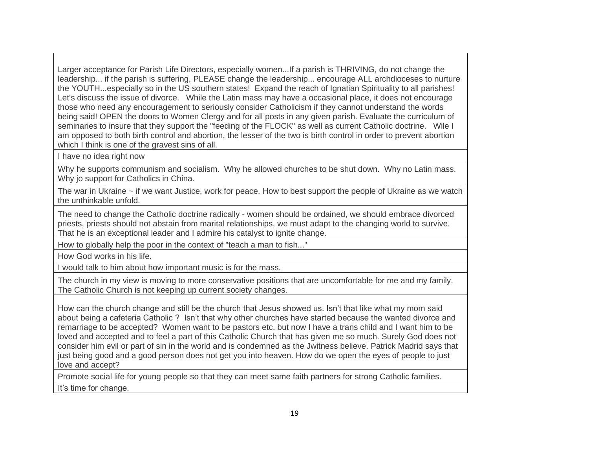Larger acceptance for Parish Life Directors, especially women...If a parish is THRIVING, do not change the leadership... if the parish is suffering, PLEASE change the leadership... encourage ALL archdioceses to nurture the YOUTH...especially so in the US southern states! Expand the reach of Ignatian Spirituality to all parishes! Let's discuss the issue of divorce. While the Latin mass may have a occasional place, it does not encourage those who need any encouragement to seriously consider Catholicism if they cannot understand the words being said! OPEN the doors to Women Clergy and for all posts in any given parish. Evaluate the curriculum of seminaries to insure that they support the "feeding of the FLOCK" as well as current Catholic doctrine. Wile I am opposed to both birth control and abortion, the lesser of the two is birth control in order to prevent abortion which I think is one of the gravest sins of all.

I have no idea right now

Why he supports communism and socialism. Why he allowed churches to be shut down. Why no Latin mass. Why jo support for Catholics in China.

The war in Ukraine ~ if we want Justice, work for peace. How to best support the people of Ukraine as we watch the unthinkable unfold.

The need to change the Catholic doctrine radically - women should be ordained, we should embrace divorced priests, priests should not abstain from marital relationships, we must adapt to the changing world to survive. That he is an exceptional leader and I admire his catalyst to ignite change.

How to globally help the poor in the context of "teach a man to fish..."

How God works in his life.

I would talk to him about how important music is for the mass.

The church in my view is moving to more conservative positions that are uncomfortable for me and my family. The Catholic Church is not keeping up current society changes.

How can the church change and still be the church that Jesus showed us. Isn't that like what my mom said about being a cafeteria Catholic ? Isn't that why other churches have started because the wanted divorce and remarriage to be accepted? Women want to be pastors etc. but now I have a trans child and I want him to be loved and accepted and to feel a part of this Catholic Church that has given me so much. Surely God does not consider him evil or part of sin in the world and is condemned as the Jwitness believe. Patrick Madrid says that just being good and a good person does not get you into heaven. How do we open the eyes of people to just love and accept?

Promote social life for young people so that they can meet same faith partners for strong Catholic families. It's time for change.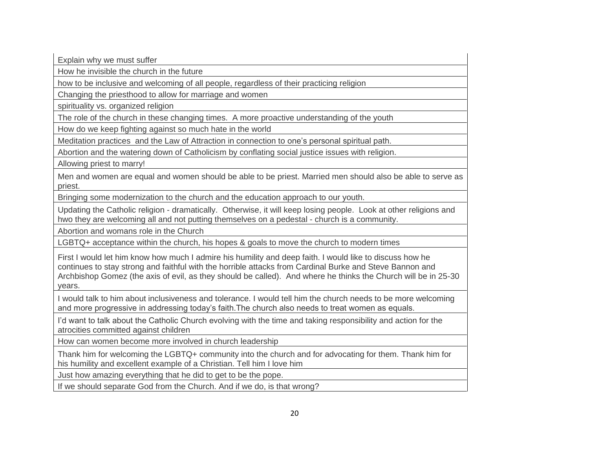Explain why we must suffer

How he invisible the church in the future

how to be inclusive and welcoming of all people, regardless of their practicing religion

Changing the priesthood to allow for marriage and women

spirituality vs. organized religion

The role of the church in these changing times. A more proactive understanding of the youth

How do we keep fighting against so much hate in the world

Meditation practices and the Law of Attraction in connection to one's personal spiritual path.

Abortion and the watering down of Catholicism by conflating social justice issues with religion.

Allowing priest to marry!

Men and women are equal and women should be able to be priest. Married men should also be able to serve as priest.

Bringing some modernization to the church and the education approach to our youth.

Updating the Catholic religion - dramatically. Otherwise, it will keep losing people. Look at other religions and hwo they are welcoming all and not putting themselves on a pedestal - church is a community.

Abortion and womans role in the Church

LGBTQ+ acceptance within the church, his hopes & goals to move the church to modern times

First I would let him know how much I admire his humility and deep faith. I would like to discuss how he continues to stay strong and faithful with the horrible attacks from Cardinal Burke and Steve Bannon and Archbishop Gomez (the axis of evil, as they should be called). And where he thinks the Church will be in 25-30 years.

I would talk to him about inclusiveness and tolerance. I would tell him the church needs to be more welcoming and more progressive in addressing today's faith.The church also needs to treat women as equals.

I'd want to talk about the Catholic Church evolving with the time and taking responsibility and action for the atrocities committed against children

How can women become more involved in church leadership

Thank him for welcoming the LGBTQ+ community into the church and for advocating for them. Thank him for his humility and excellent example of a Christian. Tell him I love him

Just how amazing everything that he did to get to be the pope.

If we should separate God from the Church. And if we do, is that wrong?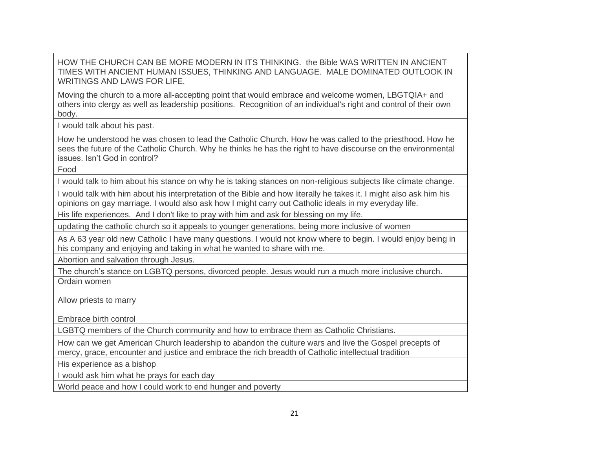## HOW THE CHURCH CAN BE MORE MODERN IN ITS THINKING. the Bible WAS WRITTEN IN ANCIENT TIMES WITH ANCIENT HUMAN ISSUES, THINKING AND LANGUAGE. MALE DOMINATED OUTLOOK IN WRITINGS AND LAWS FOR LIFE.

Moving the church to a more all-accepting point that would embrace and welcome women, LBGTQIA+ and others into clergy as well as leadership positions. Recognition of an individual's right and control of their own body.

I would talk about his past.

How he understood he was chosen to lead the Catholic Church. How he was called to the priesthood. How he sees the future of the Catholic Church. Why he thinks he has the right to have discourse on the environmental issues. Isn't God in control?

Food

I would talk to him about his stance on why he is taking stances on non-religious subjects like climate change.

I would talk with him about his interpretation of the Bible and how literally he takes it. I might also ask him his opinions on gay marriage. I would also ask how I might carry out Catholic ideals in my everyday life.

His life experiences. And I don't like to pray with him and ask for blessing on my life.

updating the catholic church so it appeals to younger generations, being more inclusive of women

As A 63 year old new Catholic I have many questions. I would not know where to begin. I would enjoy being in his company and enjoying and taking in what he wanted to share with me.

Abortion and salvation through Jesus.

The church's stance on LGBTQ persons, divorced people. Jesus would run a much more inclusive church. Ordain women

Allow priests to marry

Embrace birth control

LGBTQ members of the Church community and how to embrace them as Catholic Christians.

How can we get American Church leadership to abandon the culture wars and live the Gospel precepts of mercy, grace, encounter and justice and embrace the rich breadth of Catholic intellectual tradition

His experience as a bishop

I would ask him what he prays for each day

World peace and how I could work to end hunger and poverty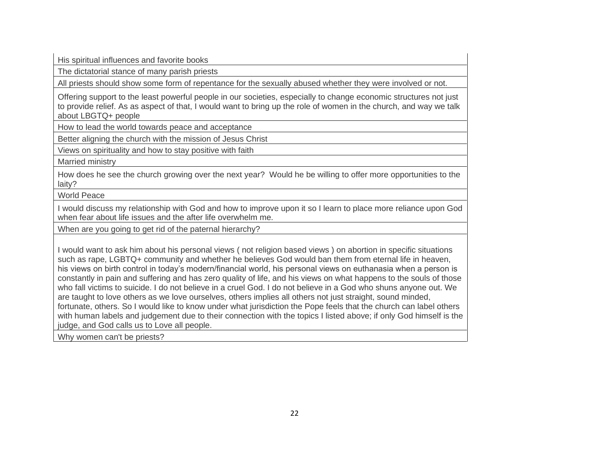His spiritual influences and favorite books

The dictatorial stance of many parish priests

All priests should show some form of repentance for the sexually abused whether they were involved or not.

Offering support to the least powerful people in our societies, especially to change economic structures not just to provide relief. As as aspect of that, I would want to bring up the role of women in the church, and way we talk about LBGTQ+ people

How to lead the world towards peace and acceptance

Better aligning the church with the mission of Jesus Christ

Views on spirituality and how to stay positive with faith

Married ministry

How does he see the church growing over the next year? Would he be willing to offer more opportunities to the laity?

World Peace

I would discuss my relationship with God and how to improve upon it so I learn to place more reliance upon God when fear about life issues and the after life overwhelm me.

When are you going to get rid of the paternal hierarchy?

I would want to ask him about his personal views ( not religion based views ) on abortion in specific situations such as rape, LGBTQ+ community and whether he believes God would ban them from eternal life in heaven, his views on birth control in today's modern/financial world, his personal views on euthanasia when a person is constantly in pain and suffering and has zero quality of life, and his views on what happens to the souls of those who fall victims to suicide. I do not believe in a cruel God. I do not believe in a God who shuns anyone out. We are taught to love others as we love ourselves, others implies all others not just straight, sound minded, fortunate, others. So I would like to know under what jurisdiction the Pope feels that the church can label others with human labels and judgement due to their connection with the topics I listed above; if only God himself is the judge, and God calls us to Love all people.

Why women can't be priests?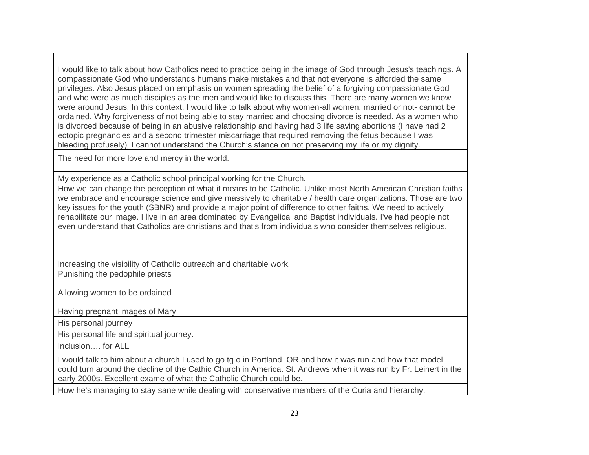I would like to talk about how Catholics need to practice being in the image of God through Jesus's teachings. A compassionate God who understands humans make mistakes and that not everyone is afforded the same privileges. Also Jesus placed on emphasis on women spreading the belief of a forgiving compassionate God and who were as much disciples as the men and would like to discuss this. There are many women we know were around Jesus. In this context, I would like to talk about why women-all women, married or not- cannot be ordained. Why forgiveness of not being able to stay married and choosing divorce is needed. As a women who is divorced because of being in an abusive relationship and having had 3 life saving abortions (I have had 2 ectopic pregnancies and a second trimester miscarriage that required removing the fetus because I was bleeding profusely), I cannot understand the Church's stance on not preserving my life or my dignity.

The need for more love and mercy in the world.

My experience as a Catholic school principal working for the Church.

How we can change the perception of what it means to be Catholic. Unlike most North American Christian faiths we embrace and encourage science and give massively to charitable / health care organizations. Those are two key issues for the youth (SBNR) and provide a major point of difference to other faiths. We need to actively rehabilitate our image. I live in an area dominated by Evangelical and Baptist individuals. I've had people not even understand that Catholics are christians and that's from individuals who consider themselves religious.

Increasing the visibility of Catholic outreach and charitable work.

Punishing the pedophile priests

Allowing women to be ordained

Having pregnant images of Mary

His personal journey

His personal life and spiritual journey.

Inclusion…. for ALL

I would talk to him about a church I used to go tg o in Portland OR and how it was run and how that model could turn around the decline of the Cathic Church in America. St. Andrews when it was run by Fr. Leinert in the early 2000s. Excellent exame of what the Catholic Church could be.

How he's managing to stay sane while dealing with conservative members of the Curia and hierarchy.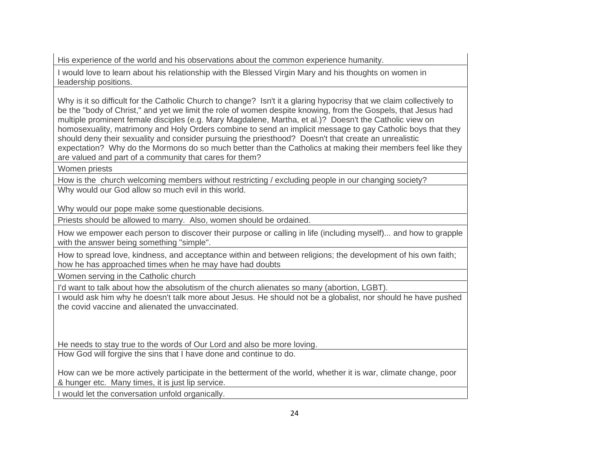His experience of the world and his observations about the common experience humanity.

I would love to learn about his relationship with the Blessed Virgin Mary and his thoughts on women in leadership positions.

Why is it so difficult for the Catholic Church to change? Isn't it a glaring hypocrisy that we claim collectively to be the "body of Christ," and yet we limit the role of women despite knowing, from the Gospels, that Jesus had multiple prominent female disciples (e.g. Mary Magdalene, Martha, et al.)? Doesn't the Catholic view on homosexuality, matrimony and Holy Orders combine to send an implicit message to gay Catholic boys that they should deny their sexuality and consider pursuing the priesthood? Doesn't that create an unrealistic expectation? Why do the Mormons do so much better than the Catholics at making their members feel like they are valued and part of a community that cares for them?

Women priests

How is the church welcoming members without restricting / excluding people in our changing society? Why would our God allow so much evil in this world.

Why would our pope make some questionable decisions.

Priests should be allowed to marry. Also, women should be ordained.

How we empower each person to discover their purpose or calling in life (including myself)... and how to grapple with the answer being something "simple".

How to spread love, kindness, and acceptance within and between religions; the development of his own faith; how he has approached times when he may have had doubts

Women serving in the Catholic church

I'd want to talk about how the absolutism of the church alienates so many (abortion, LGBT).

I would ask him why he doesn't talk more about Jesus. He should not be a globalist, nor should he have pushed the covid vaccine and alienated the unvaccinated.

He needs to stay true to the words of Our Lord and also be more loving.

How God will forgive the sins that I have done and continue to do.

How can we be more actively participate in the betterment of the world, whether it is war, climate change, poor & hunger etc. Many times, it is just lip service.

I would let the conversation unfold organically.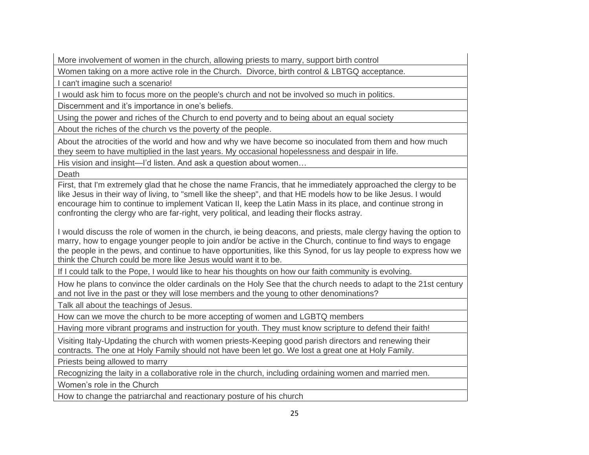More involvement of women in the church, allowing priests to marry, support birth control

Women taking on a more active role in the Church. Divorce, birth control & LBTGQ acceptance.

I can't imagine such a scenario!

I would ask him to focus more on the people's church and not be involved so much in politics.

Discernment and it's importance in one's beliefs.

Using the power and riches of the Church to end poverty and to being about an equal society

About the riches of the church vs the poverty of the people.

About the atrocities of the world and how and why we have become so inoculated from them and how much they seem to have multiplied in the last years. My occasional hopelessness and despair in life.

His vision and insight—I'd listen. And ask a question about women...

Death

First, that I'm extremely glad that he chose the name Francis, that he immediately approached the clergy to be like Jesus in their way of living, to "smell like the sheep", and that HE models how to be like Jesus. I would encourage him to continue to implement Vatican II, keep the Latin Mass in its place, and continue strong in confronting the clergy who are far-right, very political, and leading their flocks astray.

I would discuss the role of women in the church, ie being deacons, and priests, male clergy having the option to marry, how to engage younger people to join and/or be active in the Church, continue to find ways to engage the people in the pews, and continue to have opportunities, like this Synod, for us lay people to express how we think the Church could be more like Jesus would want it to be.

If I could talk to the Pope, I would like to hear his thoughts on how our faith community is evolving.

How he plans to convince the older cardinals on the Holy See that the church needs to adapt to the 21st century and not live in the past or they will lose members and the young to other denominations?

Talk all about the teachings of Jesus.

How can we move the church to be more accepting of women and LGBTQ members

Having more vibrant programs and instruction for youth. They must know scripture to defend their faith!

Visiting Italy-Updating the church with women priests-Keeping good parish directors and renewing their contracts. The one at Holy Family should not have been let go. We lost a great one at Holy Family.

Priests being allowed to marry

Recognizing the laity in a collaborative role in the church, including ordaining women and married men.

Women's role in the Church

How to change the patriarchal and reactionary posture of his church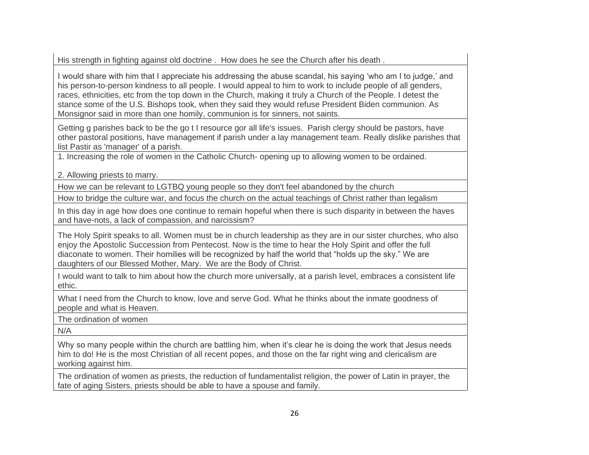His strength in fighting against old doctrine . How does he see the Church after his death .

I would share with him that I appreciate his addressing the abuse scandal, his saying 'who am I to judge,' and his person-to-person kindness to all people. I would appeal to him to work to include people of all genders, races, ethnicities, etc from the top down in the Church, making it truly a Church of the People. I detest the stance some of the U.S. Bishops took, when they said they would refuse President Biden communion. As Monsignor said in more than one homily, communion is for sinners, not saints.

Getting g parishes back to be the go t I resource gor all life's issues. Parish clergy should be pastors, have other pastoral positions, have management if parish under a lay management team. Really dislike parishes that list Pastir as 'manager' of a parish.

1. Increasing the role of women in the Catholic Church- opening up to allowing women to be ordained.

2. Allowing priests to marry.

How we can be relevant to LGTBQ young people so they don't feel abandoned by the church

How to bridge the culture war, and focus the church on the actual teachings of Christ rather than legalism

In this day in age how does one continue to remain hopeful when there is such disparity in between the haves and have-nots, a lack of compassion, and narcissism?

The Holy Spirit speaks to all. Women must be in church leadership as they are in our sister churches, who also enjoy the Apostolic Succession from Pentecost. Now is the time to hear the Holy Spirit and offer the full diaconate to women. Their homilies will be recognized by half the world that "holds up the sky." We are daughters of our Blessed Mother, Mary. We are the Body of Christ.

I would want to talk to him about how the church more universally, at a parish level, embraces a consistent life ethic.

What I need from the Church to know, love and serve God. What he thinks about the inmate goodness of people and what is Heaven.

The ordination of women

N/A

Why so many people within the church are battling him, when it's clear he is doing the work that Jesus needs him to do! He is the most Christian of all recent popes, and those on the far right wing and clericalism are working against him.

The ordination of women as priests, the reduction of fundamentalist religion, the power of Latin in prayer, the fate of aging Sisters, priests should be able to have a spouse and family.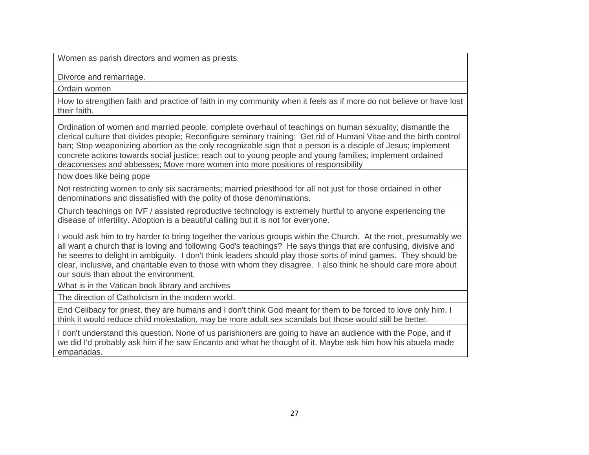Women as parish directors and women as priests.

Divorce and remarriage.

Ordain women

How to strengthen faith and practice of faith in my community when it feels as if more do not believe or have lost their faith.

Ordination of women and married people; complete overhaul of teachings on human sexuality; dismantle the clerical culture that divides people; Reconfigure seminary training; Get rid of Humani Vitae and the birth control ban; Stop weaponizing abortion as the only recognizable sign that a person is a disciple of Jesus; implement concrete actions towards social justice; reach out to young people and young families; implement ordained deaconesses and abbesses; Move more women into more positions of responsibility

how does like being pope

Not restricting women to only six sacraments; married priesthood for all not just for those ordained in other denominations and dissatisfied with the polity of those denominations.

Church teachings on IVF / assisted reproductive technology is extremely hurtful to anyone experiencing the disease of infertility. Adoption is a beautiful calling but it is not for everyone.

I would ask him to try harder to bring together the various groups within the Church. At the root, presumably we all want a church that is loving and following God's teachings? He says things that are confusing, divisive and he seems to delight in ambiguity. I don't think leaders should play those sorts of mind games. They should be clear, inclusive, and charitable even to those with whom they disagree. I also think he should care more about our souls than about the environment.

What is in the Vatican book library and archives

The direction of Catholicism in the modern world.

End Celibacy for priest, they are humans and I don't think God meant for them to be forced to love only him. I think it would reduce child molestation, may be more adult sex scandals but those would still be better.

I don't understand this question. None of us parishioners are going to have an audience with the Pope, and if we did I'd probably ask him if he saw Encanto and what he thought of it. Maybe ask him how his abuela made empanadas.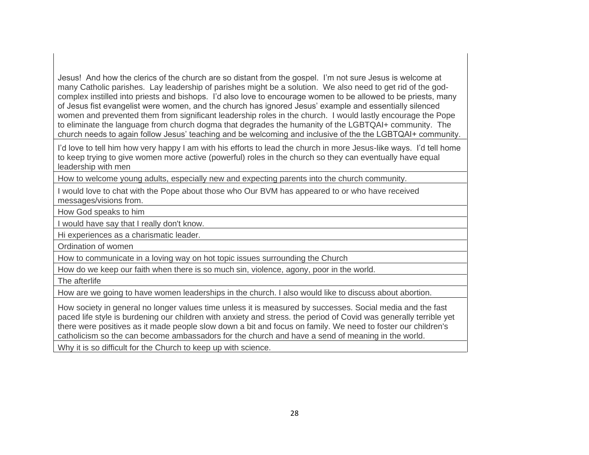Jesus! And how the clerics of the church are so distant from the gospel. I'm not sure Jesus is welcome at many Catholic parishes. Lay leadership of parishes might be a solution. We also need to get rid of the godcomplex instilled into priests and bishops. I'd also love to encourage women to be allowed to be priests, many of Jesus fist evangelist were women, and the church has ignored Jesus' example and essentially silenced women and prevented them from significant leadership roles in the church. I would lastly encourage the Pope to eliminate the language from church dogma that degrades the humanity of the LGBTQAI+ community. The church needs to again follow Jesus' teaching and be welcoming and inclusive of the the LGBTQAI+ community.

I'd love to tell him how very happy I am with his efforts to lead the church in more Jesus-like ways. I'd tell home to keep trying to give women more active (powerful) roles in the church so they can eventually have equal leadership with men

How to welcome young adults, especially new and expecting parents into the church community.

I would love to chat with the Pope about those who Our BVM has appeared to or who have received messages/visions from.

How God speaks to him

I would have say that I really don't know.

Hi experiences as a charismatic leader.

Ordination of women

How to communicate in a loving way on hot topic issues surrounding the Church

How do we keep our faith when there is so much sin, violence, agony, poor in the world.

The afterlife

How are we going to have women leaderships in the church. I also would like to discuss about abortion.

How society in general no longer values time unless it is measured by successes. Social media and the fast paced life style is burdening our children with anxiety and stress. the period of Covid was generally terrible yet there were positives as it made people slow down a bit and focus on family. We need to foster our children's catholicism so the can become ambassadors for the church and have a send of meaning in the world.

Why it is so difficult for the Church to keep up with science.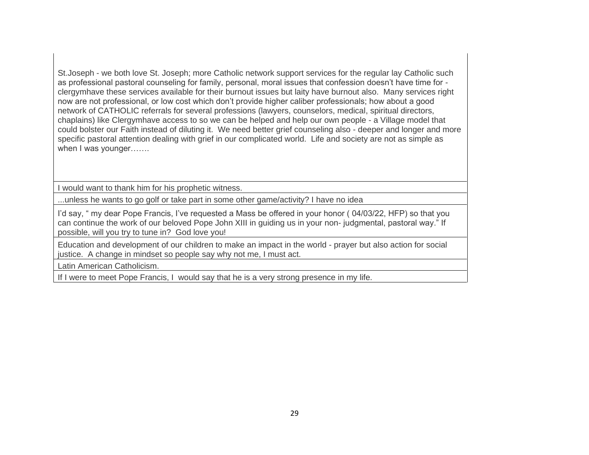St.Joseph - we both love St. Joseph; more Catholic network support services for the regular lay Catholic such as professional pastoral counseling for family, personal, moral issues that confession doesn't have time for clergymhave these services available for their burnout issues but laity have burnout also. Many services right now are not professional, or low cost which don't provide higher caliber professionals; how about a good network of CATHOLIC referrals for several professions (lawyers, counselors, medical, spiritual directors, chaplains) like Clergymhave access to so we can be helped and help our own people - a Village model that could bolster our Faith instead of diluting it. We need better grief counseling also - deeper and longer and more specific pastoral attention dealing with grief in our complicated world. Life and society are not as simple as when I was younger…….

I would want to thank him for his prophetic witness.

...unless he wants to go golf or take part in some other game/activity? I have no idea

I'd say, " my dear Pope Francis, I've requested a Mass be offered in your honor ( 04/03/22, HFP) so that you can continue the work of our beloved Pope John XIII in guiding us in your non- judgmental, pastoral way." If possible, will you try to tune in? God love you!

Education and development of our children to make an impact in the world - prayer but also action for social justice. A change in mindset so people say why not me, I must act.

Latin American Catholicism.

If I were to meet Pope Francis, I would say that he is a very strong presence in my life.